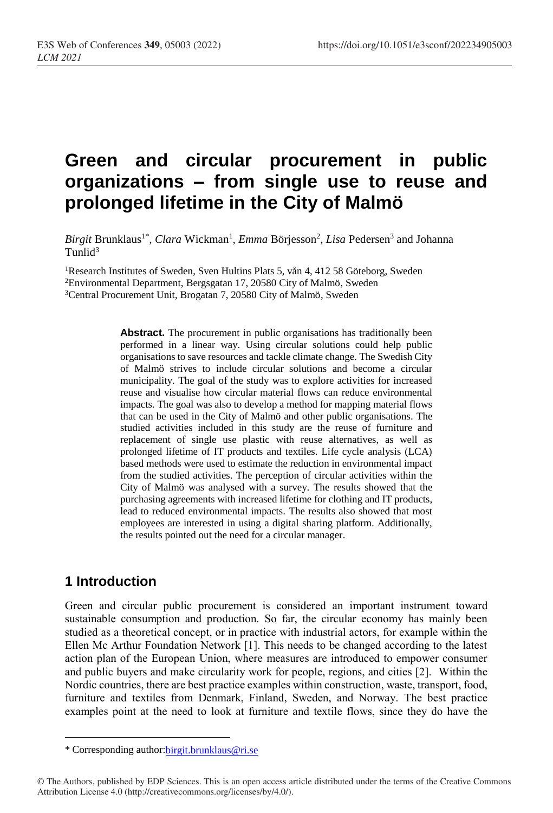# **Green and circular procurement in public organizations – from single use to reuse and prolonged lifetime in the City of Malmö**

Birgit Brunklaus<sup>1\*</sup>, *Clara* Wickman<sup>1</sup>, *Emma* Börjesson<sup>2</sup>, *Lisa* Pedersen<sup>3</sup> and Johanna  $T$ unlid<sup>3</sup>

<sup>1</sup>Research Institutes of Sweden, Sven Hultins Plats 5, vån 4, 412 58 Göteborg, Sweden <sup>2</sup>Environmental Department, Bergsgatan 17, 20580 City of Malmö, Sweden <sup>3</sup>Central Procurement Unit, Brogatan 7, 20580 City of Malmö, Sweden

> Abstract. The procurement in public organisations has traditionally been performed in a linear way. Using circular solutions could help public organisations to save resources and tackle climate change. The Swedish City of Malmö strives to include circular solutions and become a circular municipality. The goal of the study was to explore activities for increased reuse and visualise how circular material flows can reduce environmental impacts. The goal was also to develop a method for mapping material flows that can be used in the City of Malmö and other public organisations. The studied activities included in this study are the reuse of furniture and replacement of single use plastic with reuse alternatives, as well as prolonged lifetime of IT products and textiles. Life cycle analysis (LCA) based methods were used to estimate the reduction in environmental impact from the studied activities. The perception of circular activities within the City of Malmö was analysed with a survey. The results showed that the purchasing agreements with increased lifetime for clothing and IT products, lead to reduced environmental impacts. The results also showed that most employees are interested in using a digital sharing platform. Additionally, the results pointed out the need for a circular manager.

## **1 Introduction**

 $\overline{a}$ 

Green and circular public procurement is considered an important instrument toward sustainable consumption and production. So far, the circular economy has mainly been studied as a theoretical concept, or in practice with industrial actors, for example within the Ellen Mc Arthur Foundation Network [1]. This needs to be changed according to the latest action plan of the European Union, where measures are introduced to empower consumer and public buyers and make circularity work for people, regions, and cities [2]. Within the Nordic countries, there are best practice examples within construction, waste, transport, food, furniture and textiles from Denmark, Finland, Sweden, and Norway. The best practice examples point at the need to look at furniture and textile flows, since they do have the

<sup>\*</sup> Corresponding author[:birgit.brunklaus@ri.se](mailto:birgit.brunklaus@ri.se)

<sup>©</sup> The Authors, published by EDP Sciences. This is an open access article distributed under the terms of the Creative Commons Attribution License 4.0 (http://creativecommons.org/licenses/by/4.0/).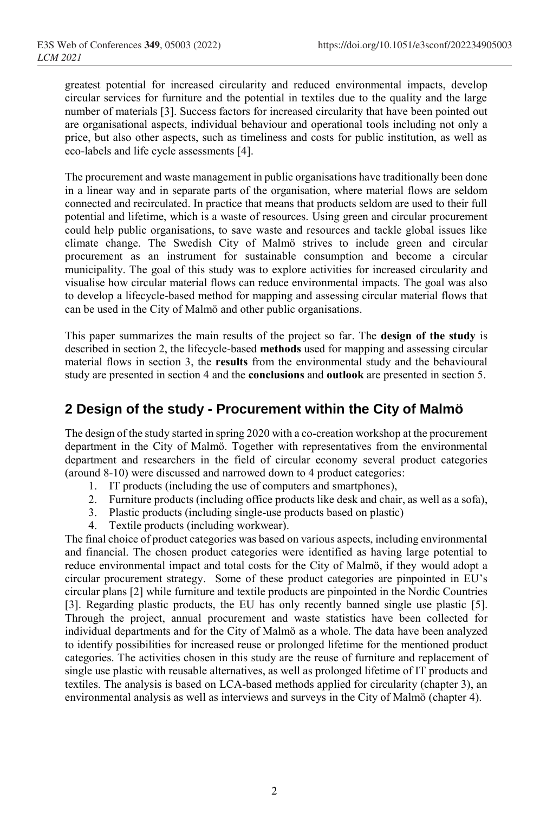greatest potential for increased circularity and reduced environmental impacts, develop circular services for furniture and the potential in textiles due to the quality and the large number of materials [3]. Success factors for increased circularity that have been pointed out are organisational aspects, individual behaviour and operational tools including not only a price, but also other aspects, such as timeliness and costs for public institution, as well as eco-labels and life cycle assessments [4].

The procurement and waste management in public organisations have traditionally been done in a linear way and in separate parts of the organisation, where material flows are seldom connected and recirculated. In practice that means that products seldom are used to their full potential and lifetime, which is a waste of resources. Using green and circular procurement could help public organisations, to save waste and resources and tackle global issues like climate change. The Swedish City of Malmö strives to include green and circular procurement as an instrument for sustainable consumption and become a circular municipality. The goal of this study was to explore activities for increased circularity and visualise how circular material flows can reduce environmental impacts. The goal was also to develop a lifecycle-based method for mapping and assessing circular material flows that can be used in the City of Malmö and other public organisations.

This paper summarizes the main results of the project so far. The **design of the study** is described in section 2, the lifecycle-based **methods** used for mapping and assessing circular material flows in section 3, the **results** from the environmental study and the behavioural study are presented in section 4 and the **conclusions** and **outlook** are presented in section 5.

### **2 Design of the study - Procurement within the City of Malmö**

The design of the study started in spring 2020 with a co-creation workshop at the procurement department in the City of Malmö. Together with representatives from the environmental department and researchers in the field of circular economy several product categories (around 8-10) were discussed and narrowed down to 4 product categories:

- 1. IT products (including the use of computers and smartphones),
- 2. Furniture products (including office products like desk and chair, as well as a sofa),
- 3. Plastic products (including single-use products based on plastic)
- 4. Textile products (including workwear).

The final choice of product categories was based on various aspects, including environmental and financial. The chosen product categories were identified as having large potential to reduce environmental impact and total costs for the City of Malmö, if they would adopt a circular procurement strategy. Some of these product categories are pinpointed in EU's circular plans [2] while furniture and textile products are pinpointed in the Nordic Countries [3]. Regarding plastic products, the EU has only recently banned single use plastic [5]. Through the project, annual procurement and waste statistics have been collected for individual departments and for the City of Malmö as a whole. The data have been analyzed to identify possibilities for increased reuse or prolonged lifetime for the mentioned product categories. The activities chosen in this study are the reuse of furniture and replacement of single use plastic with reusable alternatives, as well as prolonged lifetime of IT products and textiles. The analysis is based on LCA-based methods applied for circularity (chapter 3), an environmental analysis as well as interviews and surveys in the City of Malmö (chapter 4).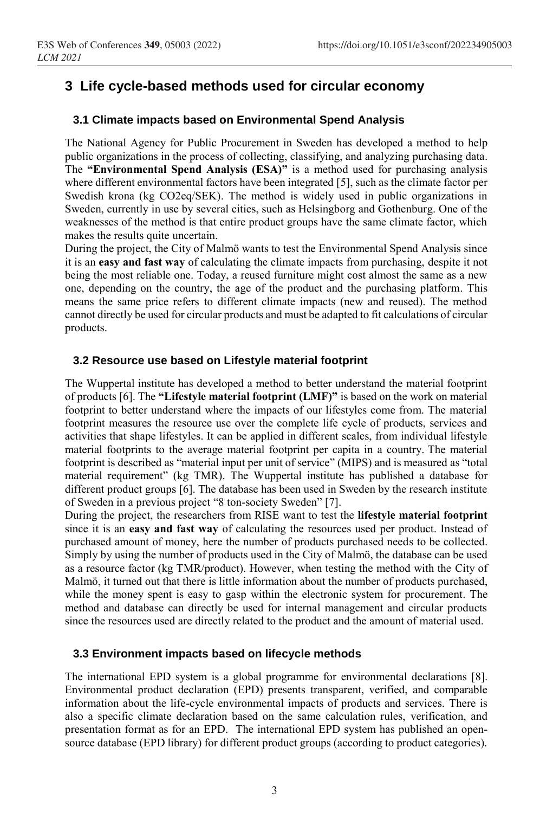### **3 Life cycle-based methods used for circular economy**

#### **3.1 Climate impacts based on Environmental Spend Analysis**

The National Agency for Public Procurement in Sweden has developed a method to help public organizations in the process of collecting, classifying, and analyzing purchasing data. The **"Environmental Spend Analysis (ESA)"** is a method used for purchasing analysis where different environmental factors have been integrated [5], such as the climate factor per Swedish krona (kg CO2eq/SEK). The method is widely used in public organizations in Sweden, currently in use by several cities, such as Helsingborg and Gothenburg. One of the weaknesses of the method is that entire product groups have the same climate factor, which makes the results quite uncertain.

During the project, the City of Malmö wants to test the Environmental Spend Analysis since it is an **easy and fast way** of calculating the climate impacts from purchasing, despite it not being the most reliable one. Today, a reused furniture might cost almost the same as a new one, depending on the country, the age of the product and the purchasing platform. This means the same price refers to different climate impacts (new and reused). The method cannot directly be used for circular products and must be adapted to fit calculations of circular products.

#### **3.2 Resource use based on Lifestyle material footprint**

The Wuppertal institute has developed a method to better understand the material footprint of products [6]. The **"Lifestyle material footprint (LMF)"** is based on the work on material footprint to better understand where the impacts of our lifestyles come from. The material footprint measures the resource use over the complete life cycle of products, services and activities that shape lifestyles. It can be applied in different scales, from individual lifestyle material footprints to the average material footprint per capita in a country. The material footprint is described as "material input per unit of service" (MIPS) and is measured as "total material requirement" (kg TMR). The Wuppertal institute has published a database for different product groups [6]. The database has been used in Sweden by the research institute of Sweden in a previous project "8 ton-society Sweden" [7].

During the project, the researchers from RISE want to test the **lifestyle material footprint** since it is an **easy and fast way** of calculating the resources used per product. Instead of purchased amount of money, here the number of products purchased needs to be collected. Simply by using the number of products used in the City of Malmö, the database can be used as a resource factor (kg TMR/product). However, when testing the method with the City of Malmö, it turned out that there is little information about the number of products purchased, while the money spent is easy to gasp within the electronic system for procurement. The method and database can directly be used for internal management and circular products since the resources used are directly related to the product and the amount of material used.

#### **3.3 Environment impacts based on lifecycle methods**

The international EPD system is a global programme for environmental declarations [8]. Environmental product declaration (EPD) presents transparent, verified, and comparable information about the life-cycle environmental impacts of products and services. There is also a specific climate declaration based on the same calculation rules, verification, and presentation format as for an EPD. The international EPD system has published an opensource database (EPD library) for different product groups (according to product categories).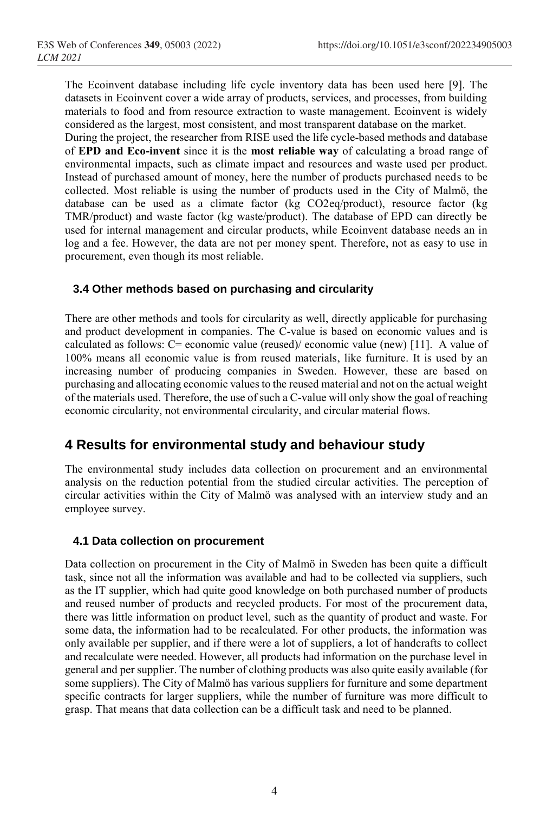The Ecoinvent database including life cycle inventory data has been used here [9]. The datasets in Ecoinvent cover a wide array of products, services, and processes, from building materials to food and from resource extraction to waste management. Ecoinvent is widely considered as the largest, most consistent, and most transparent database on the market.

During the project, the researcher from RISE used the life cycle-based methods and database of **EPD and Eco-invent** since it is the **most reliable way** of calculating a broad range of environmental impacts, such as climate impact and resources and waste used per product. Instead of purchased amount of money, here the number of products purchased needs to be collected. Most reliable is using the number of products used in the City of Malmö, the database can be used as a climate factor (kg CO2eq/product), resource factor (kg TMR/product) and waste factor (kg waste/product). The database of EPD can directly be used for internal management and circular products, while Ecoinvent database needs an in log and a fee. However, the data are not per money spent. Therefore, not as easy to use in procurement, even though its most reliable.

#### **3.4 Other methods based on purchasing and circularity**

There are other methods and tools for circularity as well, directly applicable for purchasing and product development in companies. The C-value is based on economic values and is calculated as follows: C= economic value (reused)/ economic value (new) [11]. A value of 100% means all economic value is from reused materials, like furniture. It is used by an increasing number of producing companies in Sweden. However, these are based on purchasing and allocating economic values to the reused material and not on the actual weight of the materials used. Therefore, the use of such a C-value will only show the goal of reaching economic circularity, not environmental circularity, and circular material flows.

### **4 Results for environmental study and behaviour study**

The environmental study includes data collection on procurement and an environmental analysis on the reduction potential from the studied circular activities. The perception of circular activities within the City of Malmö was analysed with an interview study and an employee survey.

#### **4.1 Data collection on procurement**

Data collection on procurement in the City of Malmö in Sweden has been quite a difficult task, since not all the information was available and had to be collected via suppliers, such as the IT supplier, which had quite good knowledge on both purchased number of products and reused number of products and recycled products. For most of the procurement data, there was little information on product level, such as the quantity of product and waste. For some data, the information had to be recalculated. For other products, the information was only available per supplier, and if there were a lot of suppliers, a lot of handcrafts to collect and recalculate were needed. However, all products had information on the purchase level in general and per supplier. The number of clothing products was also quite easily available (for some suppliers). The City of Malmö has various suppliers for furniture and some department specific contracts for larger suppliers, while the number of furniture was more difficult to grasp. That means that data collection can be a difficult task and need to be planned.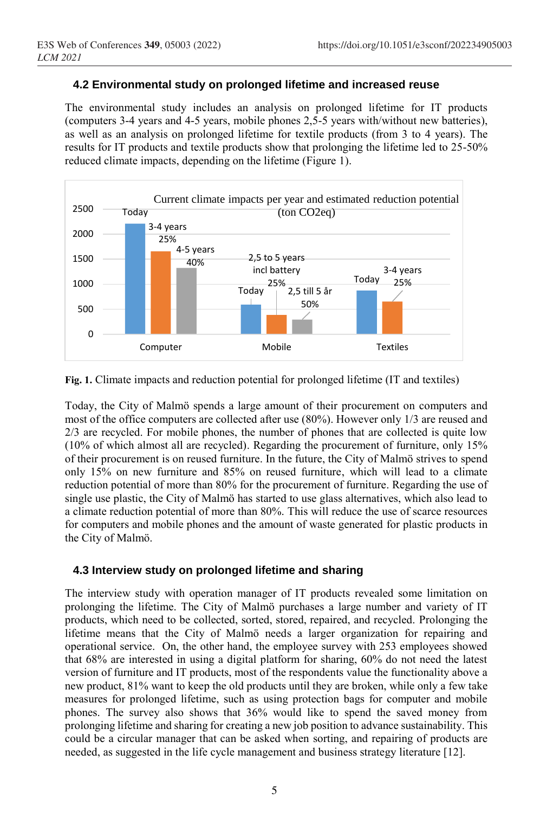### **4.2 Environmental study on prolonged lifetime and increased reuse**

The environmental study includes an analysis on prolonged lifetime for IT products (computers 3-4 years and 4-5 years, mobile phones 2,5-5 years with/without new batteries), as well as an analysis on prolonged lifetime for textile products (from 3 to 4 years). The results for IT products and textile products show that prolonging the lifetime led to 25-50% reduced climate impacts, depending on the lifetime (Figure 1).



**Fig. 1.** Climate impacts and reduction potential for prolonged lifetime (IT and textiles)

Today, the City of Malmö spends a large amount of their procurement on computers and most of the office computers are collected after use (80%). However only 1/3 are reused and 2/3 are recycled. For mobile phones, the number of phones that are collected is quite low (10% of which almost all are recycled). Regarding the procurement of furniture, only 15% of their procurement is on reused furniture. In the future, the City of Malmö strives to spend only 15% on new furniture and 85% on reused furniture, which will lead to a climate reduction potential of more than 80% for the procurement of furniture. Regarding the use of single use plastic, the City of Malmö has started to use glass alternatives, which also lead to a climate reduction potential of more than 80%. This will reduce the use of scarce resources for computers and mobile phones and the amount of waste generated for plastic products in the City of Malmö.

### **4.3 Interview study on prolonged lifetime and sharing**

The interview study with operation manager of IT products revealed some limitation on prolonging the lifetime. The City of Malmö purchases a large number and variety of IT products, which need to be collected, sorted, stored, repaired, and recycled. Prolonging the lifetime means that the City of Malmö needs a larger organization for repairing and operational service. On, the other hand, the employee survey with 253 employees showed that 68% are interested in using a digital platform for sharing, 60% do not need the latest version of furniture and IT products, most of the respondents value the functionality above a new product, 81% want to keep the old products until they are broken, while only a few take measures for prolonged lifetime, such as using protection bags for computer and mobile phones. The survey also shows that 36% would like to spend the saved money from prolonging lifetime and sharing for creating a new job position to advance sustainability. This could be a circular manager that can be asked when sorting, and repairing of products are needed, as suggested in the life cycle management and business strategy literature [12].